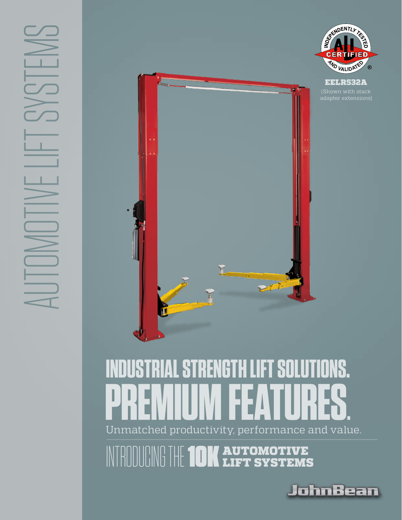



## Unmatched productivity, performance and value. **INDUSTRIAL STRENGTH LIFT SOLUTIONS. PREMIUM FEATURES.**

NTRODUCING THE **10K AUTOMOTIVE** 



ه اد ا

 $^{\circ}$